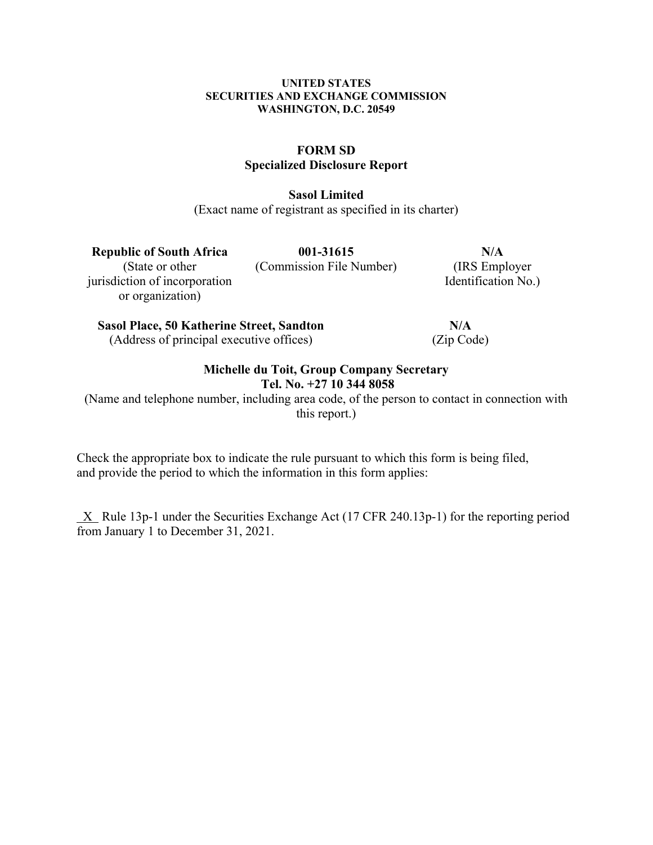#### **UNITED STATES SECURITIES AND EXCHANGE COMMISSION WASHINGTON, D.C. 20549**

## **FORM SD Specialized Disclosure Report**

**Sasol Limited**

(Exact name of registrant as specified in its charter)

**Republic of South Africa 001-31615 N/A** (State or other (Commission File Number) (IRS Employer jurisdiction of incorporation or organization)

Identification No.)

**Sasol Place, 50 Katherine Street, Sandton N/A** (Address of principal executive offices) (Zip Code)

## **Michelle du Toit, Group Company Secretary Tel. No. +27 10 344 8058**

(Name and telephone number, including area code, of the person to contact in connection with this report.)

Check the appropriate box to indicate the rule pursuant to which this form is being filed, and provide the period to which the information in this form applies:

 $X$  Rule 13p-1 under the Securities Exchange Act (17 CFR 240.13p-1) for the reporting period from January 1 to December 31, 2021.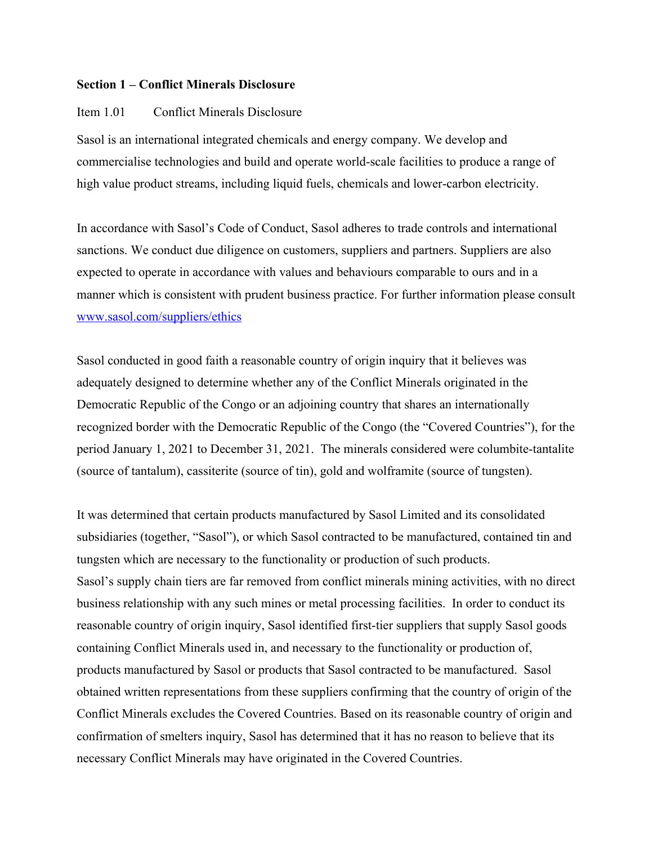#### **Section 1 – Conflict Minerals Disclosure**

### Item 1.01 Conflict Minerals Disclosure

Sasol is an international integrated chemicals and energy company. We develop and commercialise technologies and build and operate world-scale facilities to produce a range of high value product streams, including liquid fuels, chemicals and lower-carbon electricity.

In accordance with Sasol's Code of Conduct, Sasol adheres to trade controls and international sanctions. We conduct due diligence on customers, suppliers and partners. Suppliers are also expected to operate in accordance with values and behaviours comparable to ours and in a manner which is consistent with prudent business practice. For further information please consult www.sasol.com/suppliers/ethics

Sasol conducted in good faith a reasonable country of origin inquiry that it believes was adequately designed to determine whether any of the Conflict Minerals originated in the Democratic Republic of the Congo or an adjoining country that shares an internationally recognized border with the Democratic Republic of the Congo (the "Covered Countries"), for the period January 1, 2021 to December 31, 2021. The minerals considered were columbite-tantalite (source of tantalum), cassiterite (source of tin), gold and wolframite (source of tungsten).

It was determined that certain products manufactured by Sasol Limited and its consolidated subsidiaries (together, "Sasol"), or which Sasol contracted to be manufactured, contained tin and tungsten which are necessary to the functionality or production of such products. Sasol's supply chain tiers are far removed from conflict minerals mining activities, with no direct business relationship with any such mines or metal processing facilities. In order to conduct its reasonable country of origin inquiry, Sasol identified first-tier suppliers that supply Sasol goods containing Conflict Minerals used in, and necessary to the functionality or production of, products manufactured by Sasol or products that Sasol contracted to be manufactured. Sasol obtained written representations from these suppliers confirming that the country of origin of the Conflict Minerals excludes the Covered Countries. Based on its reasonable country of origin and confirmation of smelters inquiry, Sasol has determined that it has no reason to believe that its necessary Conflict Minerals may have originated in the Covered Countries.